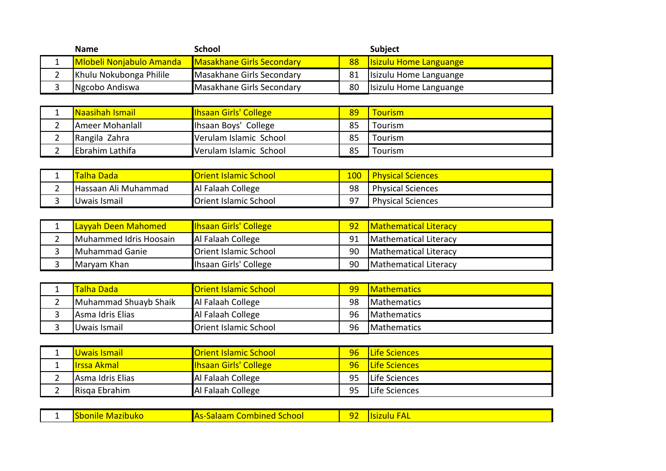| <b>Name</b>                     | School                    |                 | <b>Subject</b>                |
|---------------------------------|---------------------------|-----------------|-------------------------------|
| <b>Mlobeli Nonjabulo Amanda</b> | Masakhane Girls Secondary | 88 <sup>°</sup> | <b>Santa Languange</b>        |
| Khulu Nokubonga Philile         | Masakhane Girls Secondary | 81              | Isizulu Home Languange        |
| Ngcobo Andiswa                  | Masakhane Girls Secondary | 80              | <b>Isizulu Home Languange</b> |

|   | <b>Naasihah Ismail</b> | <b>Ihsaan Girls' College</b> | 89 | <u>Tourism </u> |
|---|------------------------|------------------------------|----|-----------------|
|   | Ameer Mohanlall        | Ihsaan Boys' College         | 85 | Tourism         |
| ∸ | Rangila Zahra          | Verulam Islamic School       | 85 | Tourism         |
|   | Ebrahim Lathifa        | Verulam Islamic School       | 85 | Tourism         |

| - | <mark>Falha Dada</mark> | <b>Orient Islamic School</b> | 100 | <b>Physical Sciences</b> |
|---|-------------------------|------------------------------|-----|--------------------------|
|   | Hassaan Ali Muhammad    | Al Falaah College            | 98  | <b>Physical Sciences</b> |
|   | IUwais Ismail           | Orient Islamic School        | 97  | <b>Physical Sciences</b> |

| Layyah Deen Mahomed    | <b>Ihsaan Girls' College</b> | 92 | <b>Mathematical Literacy</b> |
|------------------------|------------------------------|----|------------------------------|
| Muhammed Idris Hoosain | Al Falaah College            | 91 | Mathematical Literacy        |
| Muhammad Ganie         | <b>Orient Islamic School</b> | 90 | Mathematical Literacy        |
| Maryam Khan            | Ihsaan Girls' College        | 90 | Mathematical Literacy        |

|          | Talha Dada            | <b>Orient Islamic School</b> | 99 | <b>IMathematics</b> |
|----------|-----------------------|------------------------------|----|---------------------|
| <u>.</u> | Muhammad Shuayb Shaik | Al Falaah College            | 98 | <b>IMathematics</b> |
|          | Asma Idris Elias      | Al Falaah College            | 96 | <b>IMathematics</b> |
|          | Uwais Ismail          | <b>Orient Islamic School</b> | 96 | <b>IMathematics</b> |

|   | <b>Uwais Ismail</b> | <b>Orient Islamic School</b> | 96 <sup>°</sup> | <b>ILife Sciences</b> |
|---|---------------------|------------------------------|-----------------|-----------------------|
|   | <b>lirssa Akmal</b> | <b>Ihsaan Girls' College</b> | 96 <sup>°</sup> | <b>ILife Sciences</b> |
| _ | Asma Idris Elias    | Al Falaah College            | 95              | Life Sciences         |
|   | Risga Ebrahim       | Al Falaah College            | 95              | <b>ILife Sciences</b> |

| <u>school</u><br>-----<br>п<br>Mazibuko<br>zult<br>11 J H<br>16.<br>$\overline{\phantom{a}}$<br>╯<br>_ |
|--------------------------------------------------------------------------------------------------------|
|--------------------------------------------------------------------------------------------------------|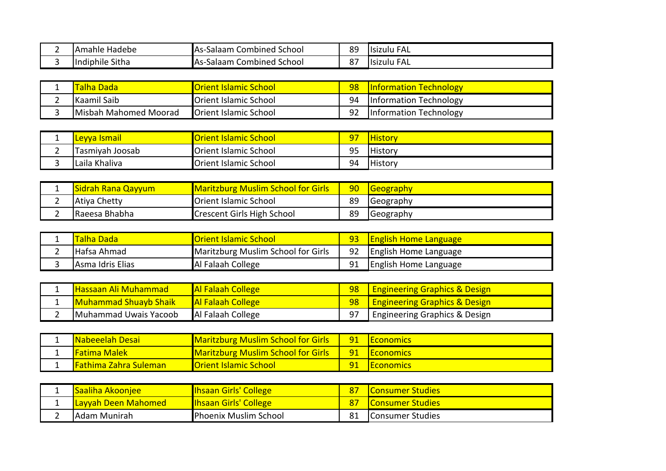| e Hadebe<br><b>TAmahle</b> | IAs-'<br>School<br>. Combined '<br>-salaam | 89            | FAL<br><u>IIsizulu</u>      |
|----------------------------|--------------------------------------------|---------------|-----------------------------|
| Sitha<br>lindiphile        | IAs-<br>School<br>Combined<br>. salaam     | $\sim$<br>، ہ | FΔ<br>"Isizulu<br><b>AL</b> |

|   | <mark>Talha Dada'</mark> | <b><u> IOrient Islamic School</u></b> | 98 | <b>Information Technology</b> |
|---|--------------------------|---------------------------------------|----|-------------------------------|
| - | <b>IKaamil Saib</b>      | <b>Orient Islamic School</b>          | 94 | <b>Information Technology</b> |
|   | Misbah Mahomed Moorad    | <b>Orient Islamic School</b>          | 92 | <b>Information Technology</b> |

| $\sim$ | <u>llevva Ismail</u> | <b>Orient Islamic School</b> | 97 | <b>History</b> |
|--------|----------------------|------------------------------|----|----------------|
| ∽<br>- | Tasmiyah Joosab      | <b>Orient Islamic School</b> | 95 | <b>History</b> |
| ີ      | Laila Khaliva        | <b>Orient Islamic School</b> | 94 | <b>History</b> |

| - | <b>Sidrah Rana Qayyum</b> | <b>Maritzburg Muslim School for Girls</b> | 90 <sub>o</sub> | <b>Geography</b> |
|---|---------------------------|-------------------------------------------|-----------------|------------------|
| - | Atiya Chetty              | Orient Islamic School                     | 89              | <b>Geography</b> |
| - | IRaeesa Bhabha            | <b>Crescent Girls High School</b>         | 89              | <b>Geography</b> |

| <b>Talha Dada</b>        | <u>IOrient Islamic School</u>      |    | <b>English Home Language</b> |
|--------------------------|------------------------------------|----|------------------------------|
| Hafsa Ahmad              | Maritzburg Muslim School for Girls | 92 | <b>English Home Language</b> |
| <b>JAsma Idris Elias</b> | Al Falaah College                  | 91 | <b>English Home Language</b> |

| <u> IHassaan Ali Muhammad </u> | <b>Al Falaah College</b> | 98 | <b>Engineering Graphics &amp; Design</b>  |
|--------------------------------|--------------------------|----|-------------------------------------------|
| <b>Muhammad Shuayb Shaik</b>   | <b>Al Falaah College</b> | 98 | <b>Langineering Graphics &amp; Design</b> |
| Muhammad Uwais Yacoob          | Al Falaah College        |    | Engineering Graphics & Design             |

| <b>INabeeelah Desai</b>        | <b>Maritzburg Muslim School for Girls</b> | $-91$ | <b>IEconomics</b>        |
|--------------------------------|-------------------------------------------|-------|--------------------------|
| <u> Fatima Malek </u>          | <b>Maritzburg Muslim School for Girls</b> |       | <u>  91   Economics </u> |
| <b>I Fathima Zahra Suleman</b> | <b>Norient Islamic School</b>             |       | <b>IEconomics</b>        |

|          | lSaaliha Akooniee          | <b>Ihsaan Girls' College</b> | <u>lConsumer Studies</u> |
|----------|----------------------------|------------------------------|--------------------------|
|          | <b>Layyah Deen Mahomed</b> | <b>Ihsaan Girls' College</b> | <u>IConsumer Studies</u> |
| <u>.</u> | IAdam Munirah              | Phoenix Muslim School        | IConsumer Studies        |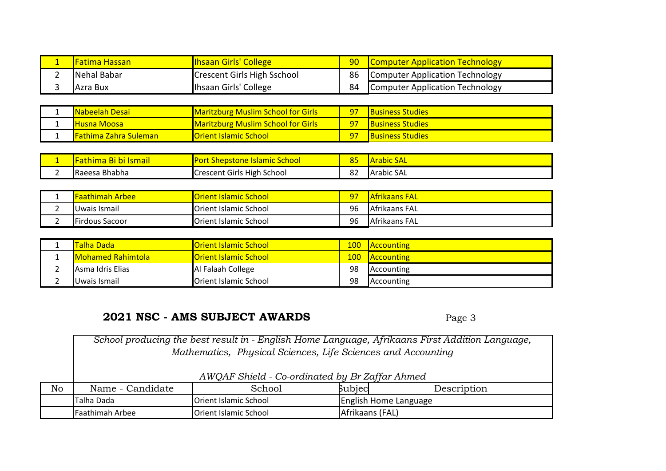| <b>IFatima Hassan</b> I | <b>Ihsaan Girls' College</b> | 90 | <b>Computer Application Technology</b> |
|-------------------------|------------------------------|----|----------------------------------------|
| Nehal Babar             | Crescent Girls High Sschool  | 86 | Computer Application Technology        |
| IAzra Bux               | Ihsaan Girls' College        | 84 | Computer Application Technology        |

|   | <b>INabeelah Desai</b>        | <b>Maritzburg Muslim School for Girls</b> | $\sqrt{97}$ | <b>Business Studies</b> |
|---|-------------------------------|-------------------------------------------|-------------|-------------------------|
| - | <b>IHusna Moosa</b>           | <b>Maritzburg Muslim School for Girls</b> | $97 -$      | <b>Business Studies</b> |
|   | <b>IFathima Zahra Suleman</b> | <b>Orient Islamic School</b>              | 97          | <b>Business Studies</b> |

| - | $\sim$<br><u>bi Ismail</u><br>ъı<br>'dllllllid | <b>Por</b><br><b>School</b><br>Aslamic *<br><b>Shepstone</b>            | oг<br>83      | <b>MArabic SAL</b> |
|---|------------------------------------------------|-------------------------------------------------------------------------|---------------|--------------------|
|   | ⊦Bhabha<br>Raeesa                              | ٬ High د<br>$\lnot$ crescent $\lceil \cdot \rceil$<br>. School<br>Girls | $\circ$<br>٥۷ | lArabic SAL        |

| -                             | <b>Faathimah Arbee</b> | <b>Orient Islamic School</b> | <u>97</u> | <b>Afrikaans FAL</b> |
|-------------------------------|------------------------|------------------------------|-----------|----------------------|
| $\overline{\phantom{a}}$<br>- | IUwais Ismail          | <b>Orient Islamic School</b> | 96        | Afrikaans FAL        |
| -                             | <b>Firdous Sacoor</b>  | <b>Orient Islamic School</b> | 96        | Afrikaans FAL        |

| <b>ITalha Dada</b>        | <b>Orient Islamic School</b> | 100 | <b>Accounting</b> |
|---------------------------|------------------------------|-----|-------------------|
| <b>IMohamed Rahimtola</b> | <b>Orient Islamic School</b> | 100 | <b>Accounting</b> |
| <b>IAsma Idris Elias</b>  | Al Falaah College            | 98  | Accounting        |
| <b>IUwais Ismail</b>      | Orient Islamic School        | 98  | <b>Accounting</b> |

## **2021 NSC - AMS SUBJECT AWARDS**

Page 3

No Name - Candidate School Subject Description Talha Dada Orient Islamic School English Home Language Faathimah Arbee Orient Islamic School Afrikaans (FAL) *School producing the best result in - English Home Language, Afrikaans First Addition Language, Mathematics, Physical Sciences, Life Sciences and Accounting AWQAF Shield - Co-ordinated by Br Zaffar Ahmed*